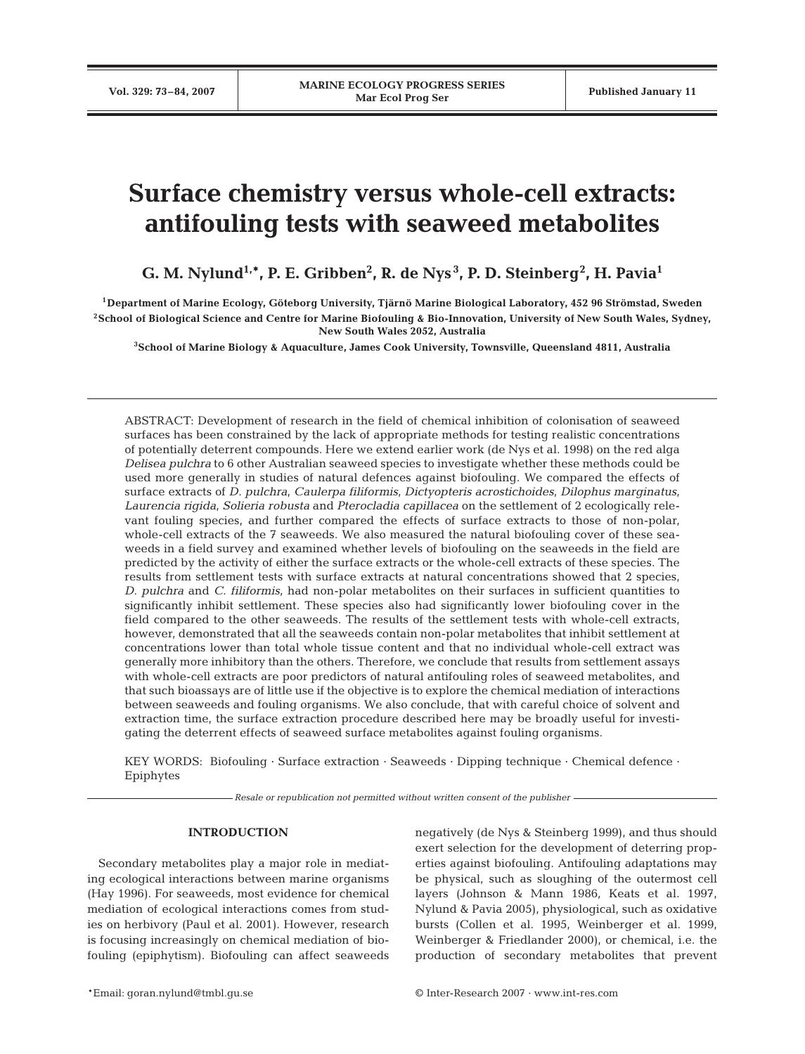# **Surface chemistry versus whole-cell extracts: antifouling tests with seaweed metabolites**

**G. M. Nylund1,\*, P. E. Gribben2 , R. de Nys <sup>3</sup> , P. D. Steinberg<sup>2</sup> , H. Pavia1**

**1Department of Marine Ecology, Göteborg University, Tjärnö Marine Biological Laboratory, 452 96 Strömstad, Sweden 2School of Biological Science and Centre for Marine Biofouling & Bio-Innovation, University of New South Wales, Sydney, New South Wales 2052, Australia**

**3School of Marine Biology & Aquaculture, James Cook University, Townsville, Queensland 4811, Australia**

ABSTRACT: Development of research in the field of chemical inhibition of colonisation of seaweed surfaces has been constrained by the lack of appropriate methods for testing realistic concentrations of potentially deterrent compounds. Here we extend earlier work (de Nys et al. 1998) on the red alga *Delisea pulchra* to 6 other Australian seaweed species to investigate whether these methods could be used more generally in studies of natural defences against biofouling. We compared the effects of surface extracts of *D. pulchra*, *Caulerpa filiformis*, *Dictyopteris acrostichoides*, *Dilophus marginatus*, *Laurencia rigida*, *Solieria robusta* and *Pterocladia capillacea* on the settlement of 2 ecologically relevant fouling species, and further compared the effects of surface extracts to those of non-polar, whole-cell extracts of the 7 seaweeds. We also measured the natural biofouling cover of these seaweeds in a field survey and examined whether levels of biofouling on the seaweeds in the field are predicted by the activity of either the surface extracts or the whole-cell extracts of these species. The results from settlement tests with surface extracts at natural concentrations showed that 2 species, *D. pulchra* and *C. filiformis*, had non-polar metabolites on their surfaces in sufficient quantities to significantly inhibit settlement. These species also had significantly lower biofouling cover in the field compared to the other seaweeds. The results of the settlement tests with whole-cell extracts, however, demonstrated that all the seaweeds contain non-polar metabolites that inhibit settlement at concentrations lower than total whole tissue content and that no individual whole-cell extract was generally more inhibitory than the others. Therefore, we conclude that results from settlement assays with whole-cell extracts are poor predictors of natural antifouling roles of seaweed metabolites, and that such bioassays are of little use if the objective is to explore the chemical mediation of interactions between seaweeds and fouling organisms. We also conclude, that with careful choice of solvent and extraction time, the surface extraction procedure described here may be broadly useful for investigating the deterrent effects of seaweed surface metabolites against fouling organisms.

KEY WORDS: Biofouling · Surface extraction · Seaweeds · Dipping technique · Chemical defence · Epiphytes

*Resale or republication not permitted without written consent of the publisher*

## **INTRODUCTION**

Secondary metabolites play a major role in mediating ecological interactions between marine organisms (Hay 1996). For seaweeds, most evidence for chemical mediation of ecological interactions comes from studies on herbivory (Paul et al. 2001). However, research is focusing increasingly on chemical mediation of biofouling (epiphytism). Biofouling can affect seaweeds negatively (de Nys & Steinberg 1999), and thus should exert selection for the development of deterring properties against biofouling. Antifouling adaptations may be physical, such as sloughing of the outermost cell layers (Johnson & Mann 1986, Keats et al. 1997, Nylund & Pavia 2005), physiological, such as oxidative bursts (Collen et al. 1995, Weinberger et al. 1999, Weinberger & Friedlander 2000), or chemical, i.e. the production of secondary metabolites that prevent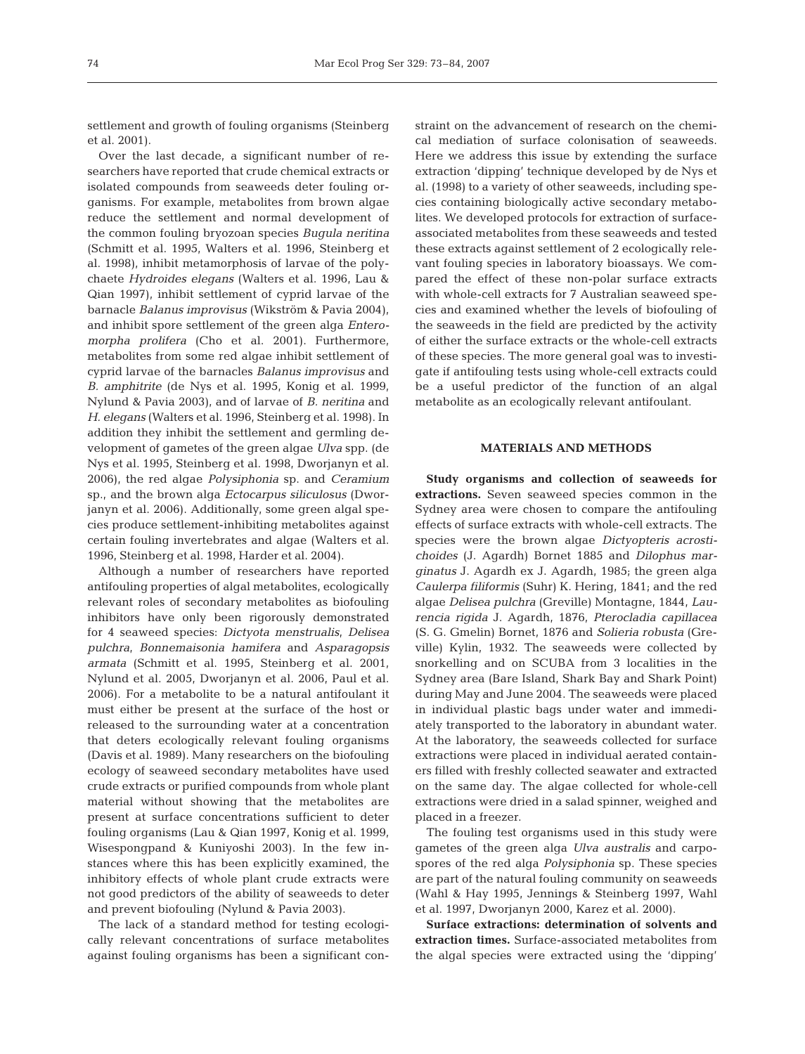settlement and growth of fouling organisms (Steinberg et al. 2001).

Over the last decade, a significant number of researchers have reported that crude chemical extracts or isolated compounds from seaweeds deter fouling organisms. For example, metabolites from brown algae reduce the settlement and normal development of the common fouling bryozoan species *Bugula neritina* (Schmitt et al. 1995, Walters et al. 1996, Steinberg et al. 1998), inhibit metamorphosis of larvae of the polychaete *Hydroides elegans* (Walters et al. 1996, Lau & Qian 1997), inhibit settlement of cyprid larvae of the barnacle *Balanus improvisus* (Wikström & Pavia 2004), and inhibit spore settlement of the green alga *Enteromorpha prolifera* (Cho et al. 2001). Furthermore, metabolites from some red algae inhibit settlement of cyprid larvae of the barnacles *Balanus improvisus* and *B. amphitrite* (de Nys et al. 1995, Konig et al. 1999, Nylund & Pavia 2003), and of larvae of *B. neritina* and *H. elegans* (Walters et al. 1996, Steinberg et al. 1998). In addition they inhibit the settlement and germling development of gametes of the green algae *Ulva* spp. (de Nys et al. 1995, Steinberg et al. 1998, Dworjanyn et al. 2006), the red algae *Polysiphonia* sp. and *Ceramium* sp., and the brown alga *Ectocarpus siliculosus* (Dworjanyn et al. 2006). Additionally, some green algal species produce settlement-inhibiting metabolites against certain fouling invertebrates and algae (Walters et al. 1996, Steinberg et al. 1998, Harder et al. 2004).

Although a number of researchers have reported antifouling properties of algal metabolites, ecologically relevant roles of secondary metabolites as biofouling inhibitors have only been rigorously demonstrated for 4 seaweed species: *Dictyota menstrualis*, *Delisea pulchra*, *Bonnemaisonia hamifera* and *Asparagopsis armata* (Schmitt et al. 1995, Steinberg et al. 2001, Nylund et al. 2005, Dworjanyn et al. 2006, Paul et al. 2006). For a metabolite to be a natural antifoulant it must either be present at the surface of the host or released to the surrounding water at a concentration that deters ecologically relevant fouling organisms (Davis et al. 1989). Many researchers on the biofouling ecology of seaweed secondary metabolites have used crude extracts or purified compounds from whole plant material without showing that the metabolites are present at surface concentrations sufficient to deter fouling organisms (Lau & Qian 1997, Konig et al. 1999, Wisespongpand & Kuniyoshi 2003). In the few instances where this has been explicitly examined, the inhibitory effects of whole plant crude extracts were not good predictors of the ability of seaweeds to deter and prevent biofouling (Nylund & Pavia 2003).

The lack of a standard method for testing ecologically relevant concentrations of surface metabolites against fouling organisms has been a significant con-

straint on the advancement of research on the chemical mediation of surface colonisation of seaweeds. Here we address this issue by extending the surface extraction 'dipping' technique developed by de Nys et al. (1998) to a variety of other seaweeds, including species containing biologically active secondary metabolites. We developed protocols for extraction of surfaceassociated metabolites from these seaweeds and tested these extracts against settlement of 2 ecologically relevant fouling species in laboratory bioassays. We compared the effect of these non-polar surface extracts with whole-cell extracts for 7 Australian seaweed species and examined whether the levels of biofouling of the seaweeds in the field are predicted by the activity of either the surface extracts or the whole-cell extracts of these species. The more general goal was to investigate if antifouling tests using whole-cell extracts could be a useful predictor of the function of an algal metabolite as an ecologically relevant antifoulant.

## **MATERIALS AND METHODS**

**Study organisms and collection of seaweeds for extractions.** Seven seaweed species common in the Sydney area were chosen to compare the antifouling effects of surface extracts with whole-cell extracts. The species were the brown algae *Dictyopteris acrostichoides* (J. Agardh) Bornet 1885 and *Dilophus marginatus* J. Agardh ex J. Agardh, 1985; the green alga *Caulerpa filiformis* (Suhr) K. Hering, 1841; and the red algae *Delisea pulchra* (Greville) Montagne, 1844, *Laurencia rigida* J. Agardh, 1876, *Pterocladia capillacea* (S. G. Gmelin) Bornet, 1876 and *Solieria robusta* (Greville) Kylin, 1932. The seaweeds were collected by snorkelling and on SCUBA from 3 localities in the Sydney area (Bare Island, Shark Bay and Shark Point) during May and June 2004. The seaweeds were placed in individual plastic bags under water and immediately transported to the laboratory in abundant water. At the laboratory, the seaweeds collected for surface extractions were placed in individual aerated containers filled with freshly collected seawater and extracted on the same day. The algae collected for whole-cell extractions were dried in a salad spinner, weighed and placed in a freezer.

The fouling test organisms used in this study were gametes of the green alga *Ulva australis* and carpospores of the red alga *Polysiphonia* sp. These species are part of the natural fouling community on seaweeds (Wahl & Hay 1995, Jennings & Steinberg 1997, Wahl et al. 1997, Dworjanyn 2000, Karez et al. 2000).

**Surface extractions: determination of solvents and extraction times.** Surface-associated metabolites from the algal species were extracted using the 'dipping'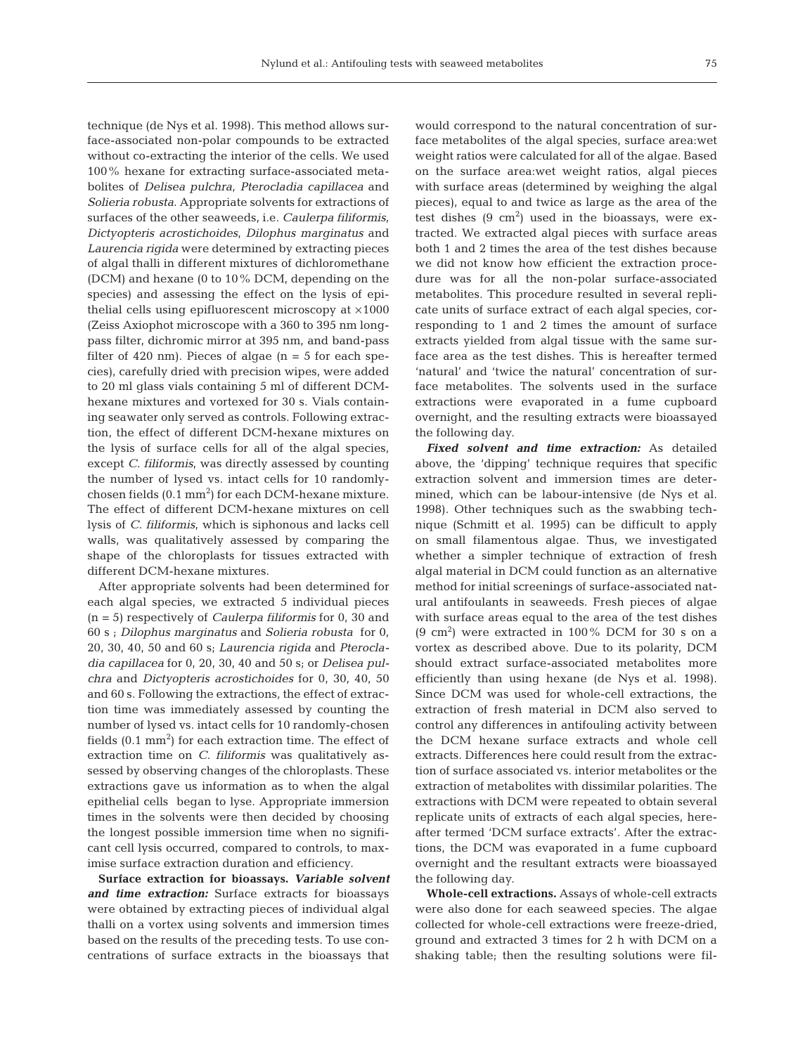technique (de Nys et al. 1998). This method allows surface-associated non-polar compounds to be extracted without co-extracting the interior of the cells. We used 100% hexane for extracting surface-associated metabolites of *Delisea pulchra*, *Pterocladia capillacea* and *Solieria robusta*. Appropriate solvents for extractions of surfaces of the other seaweeds, i.e. *Caulerpa filiformis*, *Dictyopteris acrostichoides*, *Dilophus marginatus* and *Laurencia rigida* were determined by extracting pieces of algal thalli in different mixtures of dichloromethane (DCM) and hexane (0 to 10% DCM, depending on the species) and assessing the effect on the lysis of epithelial cells using epifluorescent microscopy at ×1000 (Zeiss Axiophot microscope with a 360 to 395 nm longpass filter, dichromic mirror at 395 nm, and band-pass filter of 420 nm). Pieces of algae ( $n = 5$  for each species), carefully dried with precision wipes, were added to 20 ml glass vials containing 5 ml of different DCMhexane mixtures and vortexed for 30 s. Vials containing seawater only served as controls. Following extraction, the effect of different DCM-hexane mixtures on the lysis of surface cells for all of the algal species, except *C. filiformis*, was directly assessed by counting the number of lysed vs. intact cells for 10 randomlychosen fields  $(0.1 \text{ mm}^2)$  for each DCM-hexane mixture. The effect of different DCM-hexane mixtures on cell lysis of *C. filiformis*, which is siphonous and lacks cell walls, was qualitatively assessed by comparing the shape of the chloroplasts for tissues extracted with different DCM-hexane mixtures.

After appropriate solvents had been determined for each algal species, we extracted 5 individual pieces (n = 5) respectively of *Caulerpa filiformis* for 0, 30 and 60 s ; *Dilophus marginatus* and *Solieria robusta* for 0, 20, 30, 40, 50 and 60 s; *Laurencia rigida* and *Pterocladia capillacea* for 0, 20, 30, 40 and 50 s; or *Delisea pulchra* and *Dictyopteris acrostichoides* for 0, 30, 40, 50 and 60 s. Following the extractions, the effect of extraction time was immediately assessed by counting the number of lysed vs. intact cells for 10 randomly-chosen fields  $(0.1 \text{ mm}^2)$  for each extraction time. The effect of extraction time on *C. filiformis* was qualitatively assessed by observing changes of the chloroplasts. These extractions gave us information as to when the algal epithelial cells began to lyse. Appropriate immersion times in the solvents were then decided by choosing the longest possible immersion time when no significant cell lysis occurred, compared to controls, to maximise surface extraction duration and efficiency.

**Surface extraction for bioassays.** *Variable solvent and time extraction:* Surface extracts for bioassays were obtained by extracting pieces of individual algal thalli on a vortex using solvents and immersion times based on the results of the preceding tests. To use concentrations of surface extracts in the bioassays that

would correspond to the natural concentration of surface metabolites of the algal species, surface area:wet weight ratios were calculated for all of the algae. Based on the surface area:wet weight ratios, algal pieces with surface areas (determined by weighing the algal pieces), equal to and twice as large as the area of the test dishes  $(9 \text{ cm}^2)$  used in the bioassays, were extracted. We extracted algal pieces with surface areas both 1 and 2 times the area of the test dishes because we did not know how efficient the extraction procedure was for all the non-polar surface-associated metabolites. This procedure resulted in several replicate units of surface extract of each algal species, corresponding to 1 and 2 times the amount of surface extracts yielded from algal tissue with the same surface area as the test dishes. This is hereafter termed 'natural' and 'twice the natural' concentration of surface metabolites. The solvents used in the surface extractions were evaporated in a fume cupboard overnight, and the resulting extracts were bioassayed the following day.

*Fixed solvent and time extraction:* As detailed above, the 'dipping' technique requires that specific extraction solvent and immersion times are determined, which can be labour-intensive (de Nys et al. 1998). Other techniques such as the swabbing technique (Schmitt et al. 1995) can be difficult to apply on small filamentous algae. Thus, we investigated whether a simpler technique of extraction of fresh algal material in DCM could function as an alternative method for initial screenings of surface-associated natural antifoulants in seaweeds. Fresh pieces of algae with surface areas equal to the area of the test dishes  $(9 \text{ cm}^2)$  were extracted in 100% DCM for 30 s on a vortex as described above. Due to its polarity, DCM should extract surface-associated metabolites more efficiently than using hexane (de Nys et al. 1998). Since DCM was used for whole-cell extractions, the extraction of fresh material in DCM also served to control any differences in antifouling activity between the DCM hexane surface extracts and whole cell extracts. Differences here could result from the extraction of surface associated vs. interior metabolites or the extraction of metabolites with dissimilar polarities. The extractions with DCM were repeated to obtain several replicate units of extracts of each algal species, hereafter termed 'DCM surface extracts'. After the extractions, the DCM was evaporated in a fume cupboard overnight and the resultant extracts were bioassayed the following day.

**Whole-cell extractions.** Assays of whole-cell extracts were also done for each seaweed species. The algae collected for whole-cell extractions were freeze-dried, ground and extracted 3 times for 2 h with DCM on a shaking table; then the resulting solutions were fil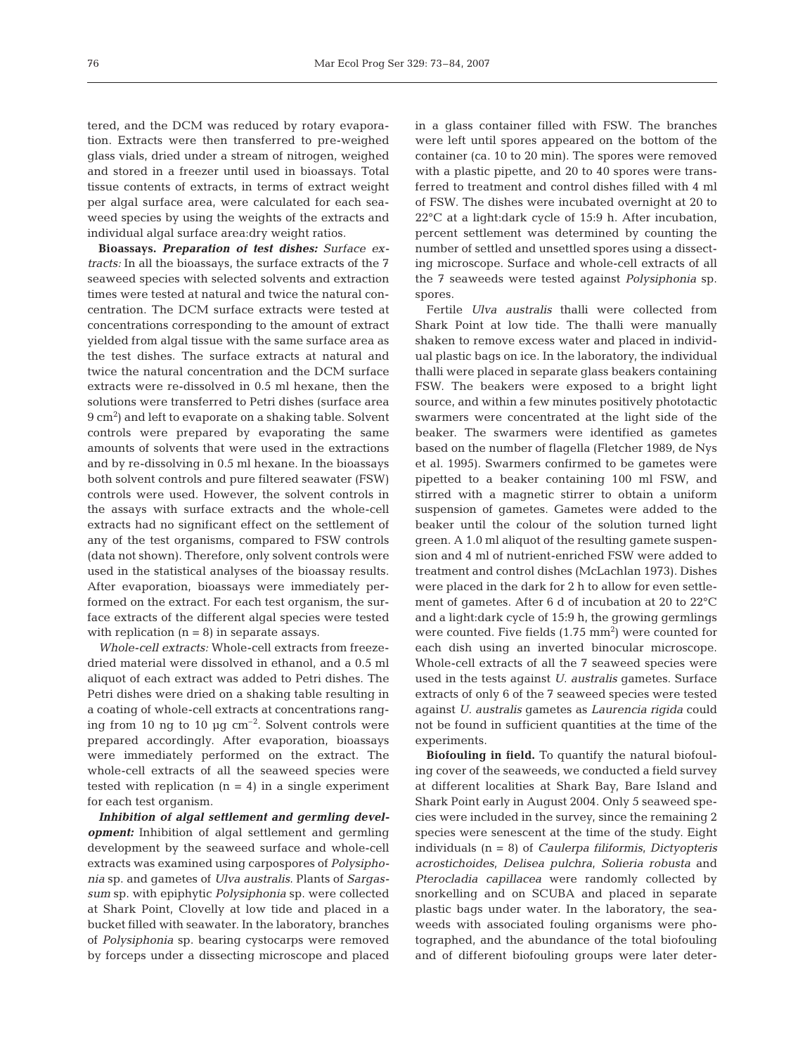tered, and the DCM was reduced by rotary evaporation. Extracts were then transferred to pre-weighed glass vials, dried under a stream of nitrogen, weighed and stored in a freezer until used in bioassays. Total tissue contents of extracts, in terms of extract weight per algal surface area, were calculated for each seaweed species by using the weights of the extracts and individual algal surface area:dry weight ratios.

**Bioassays.** *Preparation of test dishes: Surface extracts:* In all the bioassays, the surface extracts of the 7 seaweed species with selected solvents and extraction times were tested at natural and twice the natural concentration. The DCM surface extracts were tested at concentrations corresponding to the amount of extract yielded from algal tissue with the same surface area as the test dishes. The surface extracts at natural and twice the natural concentration and the DCM surface extracts were re-dissolved in 0.5 ml hexane, then the solutions were transferred to Petri dishes (surface area 9 cm2 ) and left to evaporate on a shaking table. Solvent controls were prepared by evaporating the same amounts of solvents that were used in the extractions and by re-dissolving in 0.5 ml hexane. In the bioassays both solvent controls and pure filtered seawater (FSW) controls were used. However, the solvent controls in the assays with surface extracts and the whole-cell extracts had no significant effect on the settlement of any of the test organisms, compared to FSW controls (data not shown). Therefore, only solvent controls were used in the statistical analyses of the bioassay results. After evaporation, bioassays were immediately performed on the extract. For each test organism, the surface extracts of the different algal species were tested with replication  $(n = 8)$  in separate assays.

*Whole-cell extracts:* Whole-cell extracts from freezedried material were dissolved in ethanol, and a 0.5 ml aliquot of each extract was added to Petri dishes. The Petri dishes were dried on a shaking table resulting in a coating of whole-cell extracts at concentrations ranging from 10 ng to 10  $\mu$ g cm<sup>-2</sup>. Solvent controls were prepared accordingly. After evaporation, bioassays were immediately performed on the extract. The whole-cell extracts of all the seaweed species were tested with replication  $(n = 4)$  in a single experiment for each test organism.

*Inhibition of algal settlement and germling development:* Inhibition of algal settlement and germling development by the seaweed surface and whole-cell extracts was examined using carpospores of *Polysiphonia* sp. and gametes of *Ulva australis*. Plants of *Sargassum* sp. with epiphytic *Polysiphonia* sp. were collected at Shark Point, Clovelly at low tide and placed in a bucket filled with seawater. In the laboratory, branches of *Polysiphonia* sp. bearing cystocarps were removed by forceps under a dissecting microscope and placed

in a glass container filled with FSW. The branches were left until spores appeared on the bottom of the container (ca. 10 to 20 min). The spores were removed with a plastic pipette, and 20 to 40 spores were transferred to treatment and control dishes filled with 4 ml of FSW. The dishes were incubated overnight at 20 to 22°C at a light:dark cycle of 15:9 h. After incubation, percent settlement was determined by counting the number of settled and unsettled spores using a dissecting microscope. Surface and whole-cell extracts of all the 7 seaweeds were tested against *Polysiphonia* sp. spores.

Fertile *Ulva australis* thalli were collected from Shark Point at low tide. The thalli were manually shaken to remove excess water and placed in individual plastic bags on ice. In the laboratory, the individual thalli were placed in separate glass beakers containing FSW. The beakers were exposed to a bright light source, and within a few minutes positively phototactic swarmers were concentrated at the light side of the beaker. The swarmers were identified as gametes based on the number of flagella (Fletcher 1989, de Nys et al. 1995). Swarmers confirmed to be gametes were pipetted to a beaker containing 100 ml FSW, and stirred with a magnetic stirrer to obtain a uniform suspension of gametes. Gametes were added to the beaker until the colour of the solution turned light green. A 1.0 ml aliquot of the resulting gamete suspension and 4 ml of nutrient-enriched FSW were added to treatment and control dishes (McLachlan 1973). Dishes were placed in the dark for 2 h to allow for even settlement of gametes. After 6 d of incubation at 20 to 22°C and a light:dark cycle of 15:9 h, the growing germlings were counted. Five fields  $(1.75 \text{ mm}^2)$  were counted for each dish using an inverted binocular microscope. Whole-cell extracts of all the 7 seaweed species were used in the tests against *U. australis* gametes. Surface extracts of only 6 of the 7 seaweed species were tested against *U. australis* gametes as *Laurencia rigida* could not be found in sufficient quantities at the time of the experiments.

**Biofouling in field.** To quantify the natural biofouling cover of the seaweeds, we conducted a field survey at different localities at Shark Bay, Bare Island and Shark Point early in August 2004. Only 5 seaweed species were included in the survey, since the remaining 2 species were senescent at the time of the study. Eight individuals (n = 8) of *Caulerpa filiformis*, *Dictyopteris acrostichoides*, *Delisea pulchra*, *Solieria robusta* and *Pterocladia capillacea* were randomly collected by snorkelling and on SCUBA and placed in separate plastic bags under water. In the laboratory, the seaweeds with associated fouling organisms were photographed, and the abundance of the total biofouling and of different biofouling groups were later deter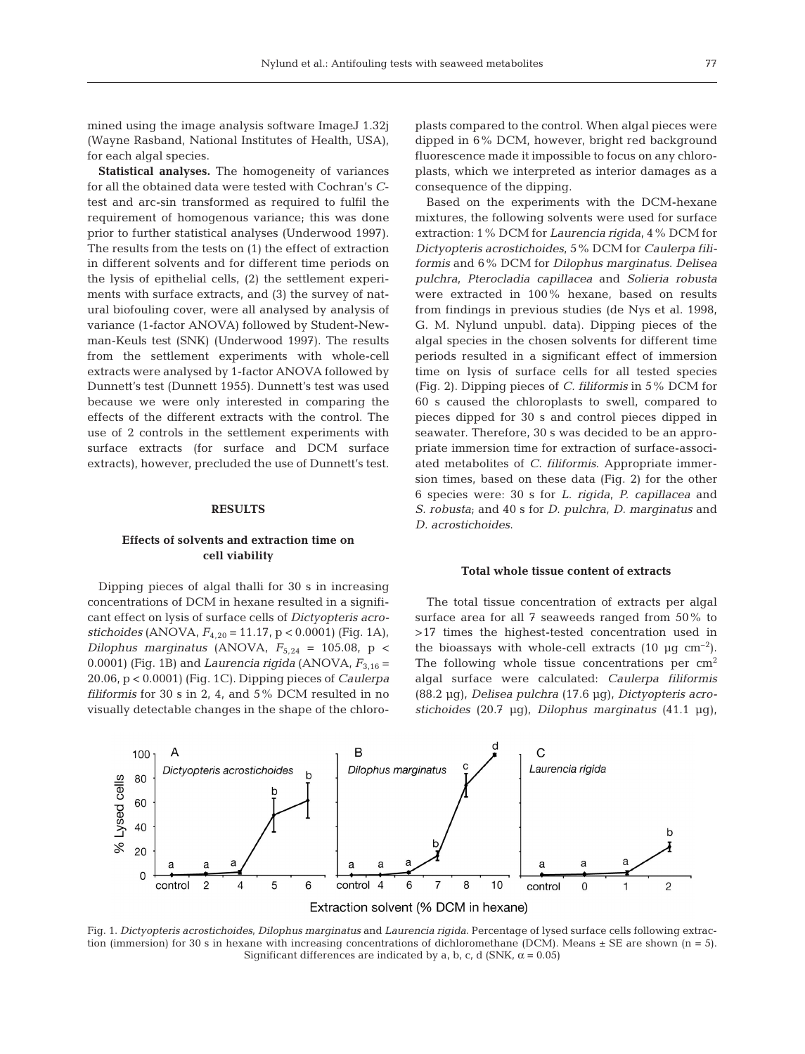mined using the image analysis software ImageJ 1.32j (Wayne Rasband, National Institutes of Health, USA), for each algal species.

**Statistical analyses.** The homogeneity of variances for all the obtained data were tested with Cochran's *C*test and arc-sin transformed as required to fulfil the requirement of homogenous variance; this was done prior to further statistical analyses (Underwood 1997). The results from the tests on (1) the effect of extraction in different solvents and for different time periods on the lysis of epithelial cells, (2) the settlement experiments with surface extracts, and (3) the survey of natural biofouling cover, were all analysed by analysis of variance (1-factor ANOVA) followed by Student-Newman-Keuls test (SNK) (Underwood 1997). The results from the settlement experiments with whole-cell extracts were analysed by 1-factor ANOVA followed by Dunnett's test (Dunnett 1955). Dunnett's test was used because we were only interested in comparing the effects of the different extracts with the control. The use of 2 controls in the settlement experiments with surface extracts (for surface and DCM surface extracts), however, precluded the use of Dunnett's test.

#### **RESULTS**

# **Effects of solvents and extraction time on cell viability**

Dipping pieces of algal thalli for 30 s in increasing concentrations of DCM in hexane resulted in a significant effect on lysis of surface cells of *Dictyopteris acrostichoides* (ANOVA,  $F_{4,20} = 11.17$ ,  $p < 0.0001$ ) (Fig. 1A), *Dilophus marginatus* (ANOVA,  $F_{5,24} = 105.08$ , p < 0.0001) (Fig. 1B) and *Laurencia rigida* (ANOVA,  $F_{3,16}$  = 20.06, p < 0.0001) (Fig. 1C). Dipping pieces of *Caulerpa filiformis* for 30 s in 2, 4, and 5% DCM resulted in no visually detectable changes in the shape of the chloroplasts compared to the control. When algal pieces were dipped in 6% DCM, however, bright red background fluorescence made it impossible to focus on any chloroplasts, which we interpreted as interior damages as a consequence of the dipping.

Based on the experiments with the DCM-hexane mixtures, the following solvents were used for surface extraction: 1% DCM for *Laurencia rigida*, 4% DCM for *Dictyopteris acrostichoides*, 5% DCM for *Caulerpa filiformis* and 6% DCM for *Dilophus marginatus*. *Delisea pulchra*, *Pterocladia capillacea* and *Solieria robusta* were extracted in 100% hexane, based on results from findings in previous studies (de Nys et al. 1998, G. M. Nylund unpubl. data). Dipping pieces of the algal species in the chosen solvents for different time periods resulted in a significant effect of immersion time on lysis of surface cells for all tested species (Fig. 2). Dipping pieces of *C. filiformis* in 5% DCM for 60 s caused the chloroplasts to swell, compared to pieces dipped for 30 s and control pieces dipped in seawater. Therefore, 30 s was decided to be an appropriate immersion time for extraction of surface-associated metabolites of *C. filiformis*. Appropriate immersion times, based on these data (Fig. 2) for the other 6 species were: 30 s for *L. rigida*, *P. capillacea* and *S. robusta*; and 40 s for *D. pulchra*, *D. marginatus* and *D. acrostichoides*.

#### **Total whole tissue content of extracts**

The total tissue concentration of extracts per algal surface area for all 7 seaweeds ranged from 50% to >17 times the highest-tested concentration used in the bioassays with whole-cell extracts  $(10 \text{ µg cm}^{-2})$ . The following whole tissue concentrations per  $\text{cm}^2$ algal surface were calculated: *Caulerpa filiformis* (88.2 µg), *Delisea pulchra* (17.6 µg), *Dictyopteris acrostichoides* (20.7 µg), *Dilophus marginatus* (41.1 µg),



Fig. 1. *Dictyopteris acrostichoides*, *Dilophus marginatus* and *Laurencia rigida*. Percentage of lysed surface cells following extraction (immersion) for 30 s in hexane with increasing concentrations of dichloromethane (DCM). Means  $\pm$  SE are shown (n = 5). Significant differences are indicated by a, b, c, d (SNK,  $\alpha$  = 0.05)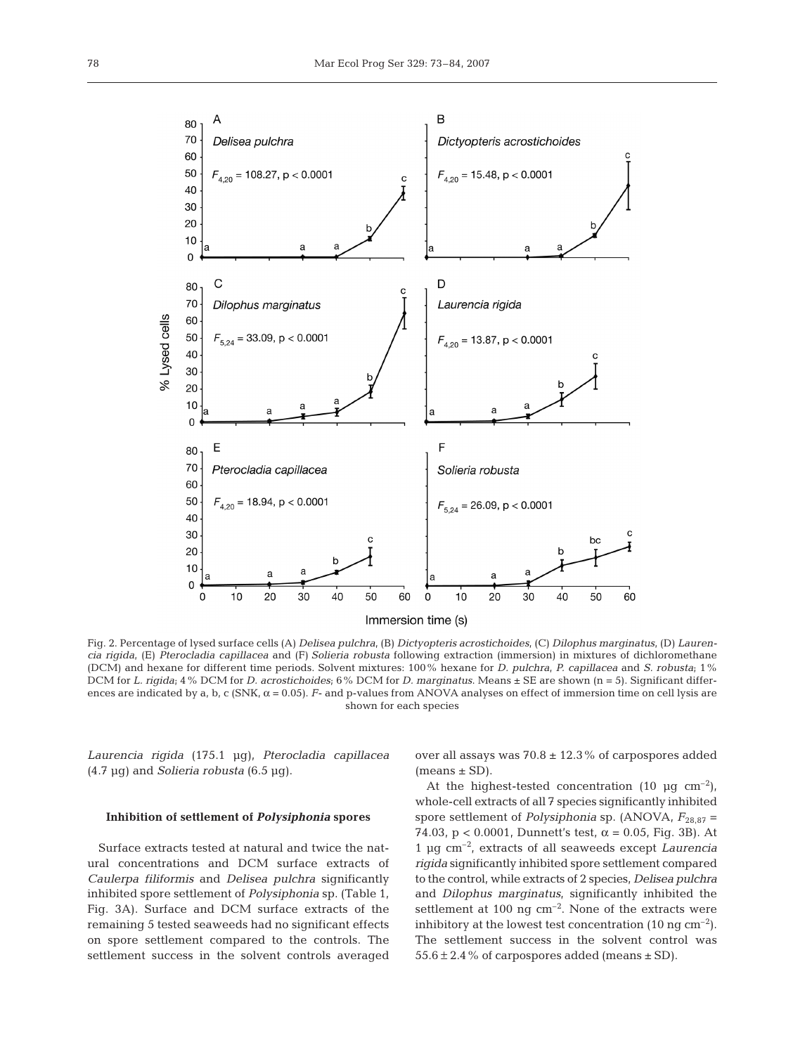

Fig. 2. Percentage of lysed surface cells (A) *Delisea pulchra*, (B) *Dictyopteris acrostichoides*, (C) *Dilophus marginatus*, (D) *Laurencia rigida*, (E) *Pterocladia capillacea* and (F) *Solieria robusta* following extraction (immersion) in mixtures of dichloromethane (DCM) and hexane for different time periods. Solvent mixtures: 100% hexane for *D. pulchra*, *P. capillacea* and *S. robusta*; 1% DCM for *L. rigida*; 4% DCM for *D. acrostichoides*; 6% DCM for *D. marginatus*. Means ± SE are shown (n = 5). Significant differences are indicated by a, b, c (SNK,  $\alpha$  = 0.05). *F*- and p-values from ANOVA analyses on effect of immersion time on cell lysis are shown for each species

*Laurencia rigida* (175.1 µg), *Pterocladia capillacea* (4.7 µg) and *Solieria robusta* (6.5 µg).

### **Inhibition of settlement of** *Polysiphonia* **spores**

Surface extracts tested at natural and twice the natural concentrations and DCM surface extracts of *Caulerpa filiformis* and *Delisea pulchra* significantly inhibited spore settlement of *Polysiphonia* sp. (Table 1, Fig. 3A). Surface and DCM surface extracts of the remaining 5 tested seaweeds had no significant effects on spore settlement compared to the controls. The settlement success in the solvent controls averaged

over all assays was  $70.8 \pm 12.3\%$  of carpospores added  $(means \pm SD)$ .

At the highest-tested concentration  $(10 \text{ µq cm}^{-2})$ , whole-cell extracts of all 7 species significantly inhibited spore settlement of *Polysiphonia* sp. (ANOVA,  $F_{28,87}$  = 74.03,  $p < 0.0001$ , Dunnett's test,  $\alpha = 0.05$ , Fig. 3B). At 1 µg cm–2, extracts of all seaweeds except *Laurencia rigida* significantly inhibited spore settlement compared to the control, while extracts of 2 species, *Delisea pulchra* and *Dilophus marginatus*, significantly inhibited the settlement at 100 ng  $cm^{-2}$ . None of the extracts were inhibitory at the lowest test concentration  $(10 \text{ nq cm}^{-2})$ . The settlement success in the solvent control was  $55.6 \pm 2.4$  % of carpospores added (means  $\pm$  SD).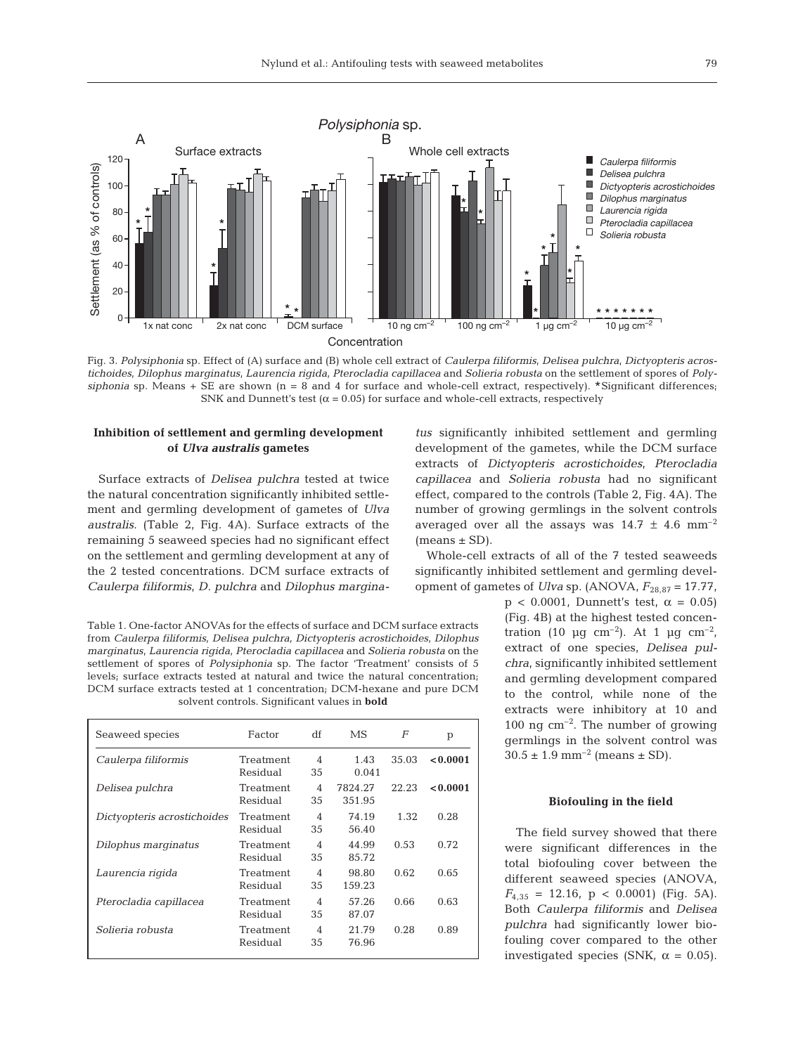

Fig. 3. *Polysiphonia* sp. Effect of (A) surface and (B) whole cell extract of *Caulerpa filiformis*, *Delisea pulchra*, *Dictyopteris acrostichoides*, *Dilophus marginatus*, *Laurencia rigida*, *Pterocladia capillacea* and *Solieria robusta* on the settlement of spores of *Poly* $siphonia$  sp. Means + SE are shown (n = 8 and 4 for surface and whole-cell extract, respectively). \*Significant differences<sub>i</sub> SNK and Dunnett's test ( $\alpha$  = 0.05) for surface and whole-cell extracts, respectively

# **Inhibition of settlement and germling development of** *Ulva australis* **gametes**

Surface extracts of *Delisea pulchra* tested at twice the natural concentration significantly inhibited settlement and germling development of gametes of *Ulva australis*. (Table 2, Fig. 4A). Surface extracts of the remaining 5 seaweed species had no significant effect on the settlement and germling development at any of the 2 tested concentrations. DCM surface extracts of *Caulerpa filiformis*, *D. pulchra* and *Dilophus margina-*

Table 1. One-factor ANOVAs for the effects of surface and DCM surface extracts from *Caulerpa filiformis*, *Delisea pulchra*, *Dictyopteris acrostichoides*, *Dilophus marginatus*, *Laurencia rigida*, *Pterocladia capillacea* and *Solieria robusta* on the settlement of spores of *Polysiphonia* sp. The factor 'Treatment' consists of 5 levels; surface extracts tested at natural and twice the natural concentration; DCM surface extracts tested at 1 concentration; DCM-hexane and pure DCM solvent controls. Significant values in **bold**

| Seaweed species             | Factor                | df                             | MS                | F     | p        |
|-----------------------------|-----------------------|--------------------------------|-------------------|-------|----------|
| Caulerpa filiformis         | Treatment<br>Residual | $\overline{\mathcal{A}}$<br>35 | 1.43<br>0.041     | 35.03 | < 0.0001 |
| Delisea pulchra             | Treatment<br>Residual | 4<br>35                        | 7824.27<br>351.95 | 22.23 | < 0.0001 |
| Dictyopteris acrostichoides | Treatment<br>Residual | 4<br>35                        | 74.19<br>56.40    | 1.32  | 0.28     |
| Dilophus marginatus         | Treatment<br>Residual | $\overline{\mathcal{A}}$<br>35 | 44.99<br>85.72    | 0.53  | 0.72     |
| Laurencia rigida            | Treatment<br>Residual | 4<br>35                        | 98.80<br>159.23   | 0.62  | 0.65     |
| Pterocladia capillacea      | Treatment<br>Residual | $\overline{\mathcal{A}}$<br>35 | 57.26<br>87.07    | 0.66  | 0.63     |
| Solieria robusta            | Treatment<br>Residual | $\overline{\mathcal{A}}$<br>35 | 21.79<br>76.96    | 0.28  | 0.89     |

*tus* significantly inhibited settlement and germling development of the gametes, while the DCM surface extracts of *Dictyopteris acrostichoides*, *Pterocladia capillacea* and *Solieria robusta* had no significant effect, compared to the controls (Table 2, Fig. 4A). The number of growing germlings in the solvent controls averaged over all the assays was  $14.7 \pm 4.6$  mm<sup>-2</sup>  $(means \pm SD)$ .

Whole-cell extracts of all of the 7 tested seaweeds significantly inhibited settlement and germling development of gametes of *Ulva* sp. (ANOVA,  $F_{28.87} = 17.77$ ,

> $p < 0.0001$ , Dunnett's test,  $\alpha = 0.05$ ) (Fig. 4B) at the highest tested concentration (10  $\mu$ g cm<sup>-2</sup>). At 1  $\mu$ g cm<sup>-2</sup>, extract of one species, *Delisea pulchra*, significantly inhibited settlement and germling development compared to the control, while none of the extracts were inhibitory at 10 and 100 ng  $\text{cm}^{-2}$ . The number of growing germlings in the solvent control was  $30.5 \pm 1.9$  mm<sup>-2</sup> (means  $\pm$  SD).

#### **Biofouling in the field**

The field survey showed that there were significant differences in the total biofouling cover between the different seaweed species (ANOVA,  $F_{4,35}$  = 12.16, p < 0.0001) (Fig. 5A). Both *Caulerpa filiformis* and *Delisea pulchra* had significantly lower biofouling cover compared to the other investigated species (SNK,  $\alpha = 0.05$ ).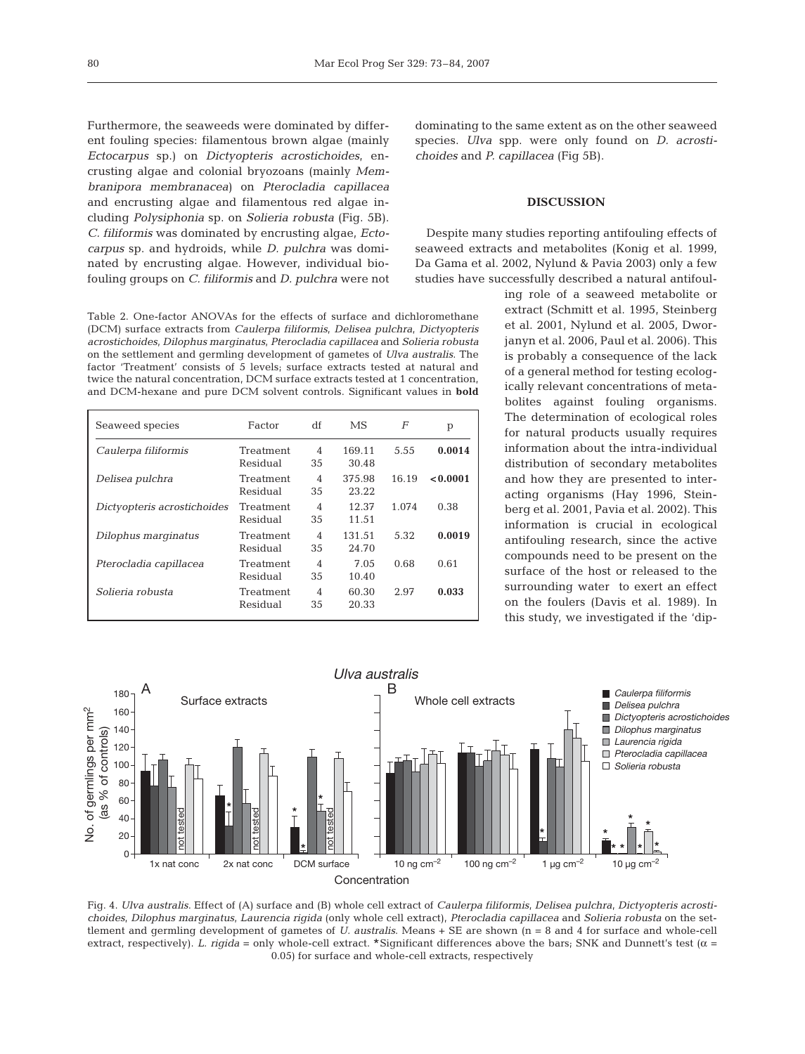Furthermore, the seaweeds were dominated by different fouling species: filamentous brown algae (mainly *Ectocarpus* sp.) on *Dictyopteris acrostichoides*, encrusting algae and colonial bryozoans (mainly *Membranipora membranacea*) on *Pterocladia capillacea* and encrusting algae and filamentous red algae including *Polysiphonia* sp. on *Solieria robusta* (Fig. 5B). *C. filiformis* was dominated by encrusting algae, *Ectocarpus* sp. and hydroids, while *D. pulchra* was dominated by encrusting algae. However, individual biofouling groups on *C. filiformis* and *D. pulchra* were not

Table 2. One-factor ANOVAs for the effects of surface and dichloromethane (DCM) surface extracts from *Caulerpa filiformis*, *Delisea pulchra*, *Dictyopteris acrostichoides*, *Dilophus marginatus*, *Pterocladia capillacea* and *Solieria robusta* on the settlement and germling development of gametes of *Ulva australis*. The factor 'Treatment' consists of 5 levels; surface extracts tested at natural and twice the natural concentration, DCM surface extracts tested at 1 concentration, and DCM-hexane and pure DCM solvent controls. Significant values in **bold**

| Seaweed species             | Factor                | df                   | MS              | F     | p        |
|-----------------------------|-----------------------|----------------------|-----------------|-------|----------|
| Caulerpa filiformis         | Treatment<br>Residual | $\overline{4}$<br>35 | 169.11<br>30.48 | 5.55  | 0.0014   |
| Delisea pulchra             | Treatment<br>Residual | $\overline{4}$<br>35 | 375.98<br>23.22 | 16.19 | < 0.0001 |
| Dictyopteris acrostichoides | Treatment<br>Residual | 4<br>35              | 12.37<br>11.51  | 1.074 | 0.38     |
| Dilophus marginatus         | Treatment<br>Residual | 4<br>35              | 131.51<br>24.70 | 5.32  | 0.0019   |
| Pterocladia capillacea      | Treatment<br>Residual | 4<br>35              | 7.05<br>10.40   | 0.68  | 0.61     |
| Solieria robusta            | Treatment<br>Residual | 4<br>35              | 60.30<br>20.33  | 2.97  | 0.033    |

dominating to the same extent as on the other seaweed species. *Ulva* spp. were only found on *D. acrostichoides* and *P. capillacea* (Fig 5B).

# **DISCUSSION**

Despite many studies reporting antifouling effects of seaweed extracts and metabolites (Konig et al. 1999, Da Gama et al. 2002, Nylund & Pavia 2003) only a few studies have successfully described a natural antifoul-

> ing role of a seaweed metabolite or extract (Schmitt et al. 1995, Steinberg et al. 2001, Nylund et al. 2005, Dworjanyn et al. 2006, Paul et al. 2006). This is probably a consequence of the lack of a general method for testing ecologically relevant concentrations of metabolites against fouling organisms. The determination of ecological roles for natural products usually requires information about the intra-individual distribution of secondary metabolites and how they are presented to interacting organisms (Hay 1996, Steinberg et al. 2001, Pavia et al. 2002). This information is crucial in ecological antifouling research, since the active compounds need to be present on the surface of the host or released to the surrounding water to exert an effect on the foulers (Davis et al. 1989). In this study, we investigated if the 'dip-



Fig. 4. *Ulva australis*. Effect of (A) surface and (B) whole cell extract of *Caulerpa filiformis*, *Delisea pulchra*, *Dictyopteris acrostichoides*, *Dilophus marginatus*, *Laurencia rigida* (only whole cell extract), *Pterocladia capillacea* and *Solieria robusta* on the settlement and germling development of gametes of *U. australis*. Means + SE are shown (n = 8 and 4 for surface and whole-cell extract, respectively). *L. rigida* = only whole-cell extract. \*Significant differences above the bars; SNK and Dunnett's test (<sup>α</sup> <sup>=</sup> 0.05) for surface and whole-cell extracts, respectively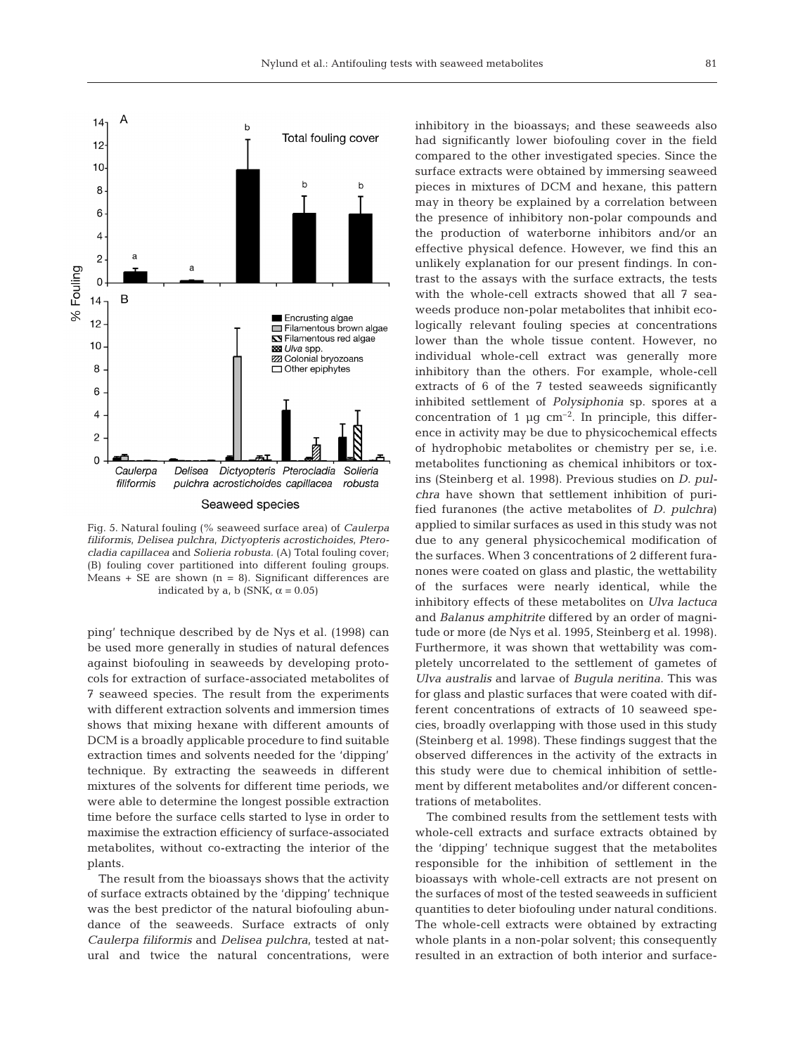

Fig. 5. Natural fouling (% seaweed surface area) of *Caulerpa filiformis*, *Delisea pulchra*, *Dictyopteris acrostichoides*, *Pterocladia capillacea* and *Solieria robusta.* (A) Total fouling cover; (B) fouling cover partitioned into different fouling groups. Means  $+$  SE are shown (n = 8). Significant differences are indicated by a, b (SNK,  $\alpha = 0.05$ )

ping' technique described by de Nys et al. (1998) can be used more generally in studies of natural defences against biofouling in seaweeds by developing protocols for extraction of surface-associated metabolites of 7 seaweed species. The result from the experiments with different extraction solvents and immersion times shows that mixing hexane with different amounts of DCM is a broadly applicable procedure to find suitable extraction times and solvents needed for the 'dipping' technique. By extracting the seaweeds in different mixtures of the solvents for different time periods, we were able to determine the longest possible extraction time before the surface cells started to lyse in order to maximise the extraction efficiency of surface-associated metabolites, without co-extracting the interior of the plants.

The result from the bioassays shows that the activity of surface extracts obtained by the 'dipping' technique was the best predictor of the natural biofouling abundance of the seaweeds. Surface extracts of only *Caulerpa filiformis* and *Delisea pulchra*, tested at natural and twice the natural concentrations, were

inhibitory in the bioassays; and these seaweeds also had significantly lower biofouling cover in the field compared to the other investigated species. Since the surface extracts were obtained by immersing seaweed pieces in mixtures of DCM and hexane, this pattern may in theory be explained by a correlation between the presence of inhibitory non-polar compounds and the production of waterborne inhibitors and/or an effective physical defence. However, we find this an unlikely explanation for our present findings. In contrast to the assays with the surface extracts, the tests with the whole-cell extracts showed that all 7 seaweeds produce non-polar metabolites that inhibit ecologically relevant fouling species at concentrations lower than the whole tissue content. However, no individual whole-cell extract was generally more inhibitory than the others. For example, whole-cell extracts of 6 of the 7 tested seaweeds significantly inhibited settlement of *Polysiphonia* sp. spores at a concentration of 1  $\mu$ g cm<sup>-2</sup>. In principle, this difference in activity may be due to physicochemical effects of hydrophobic metabolites or chemistry per se, i.e. metabolites functioning as chemical inhibitors or toxins (Steinberg et al. 1998). Previous studies on *D. pulchra* have shown that settlement inhibition of purified furanones (the active metabolites of *D. pulchra*) applied to similar surfaces as used in this study was not due to any general physicochemical modification of the surfaces. When 3 concentrations of 2 different furanones were coated on glass and plastic, the wettability of the surfaces were nearly identical, while the inhibitory effects of these metabolites on *Ulva lactuca* and *Balanus amphitrite* differed by an order of magnitude or more (de Nys et al. 1995, Steinberg et al. 1998). Furthermore, it was shown that wettability was completely uncorrelated to the settlement of gametes of *Ulva australis* and larvae of *Bugula neritina*. This was for glass and plastic surfaces that were coated with different concentrations of extracts of 10 seaweed species, broadly overlapping with those used in this study (Steinberg et al. 1998). These findings suggest that the observed differences in the activity of the extracts in this study were due to chemical inhibition of settlement by different metabolites and/or different concentrations of metabolites.

The combined results from the settlement tests with whole-cell extracts and surface extracts obtained by the 'dipping' technique suggest that the metabolites responsible for the inhibition of settlement in the bioassays with whole-cell extracts are not present on the surfaces of most of the tested seaweeds in sufficient quantities to deter biofouling under natural conditions. The whole-cell extracts were obtained by extracting whole plants in a non-polar solvent; this consequently resulted in an extraction of both interior and surface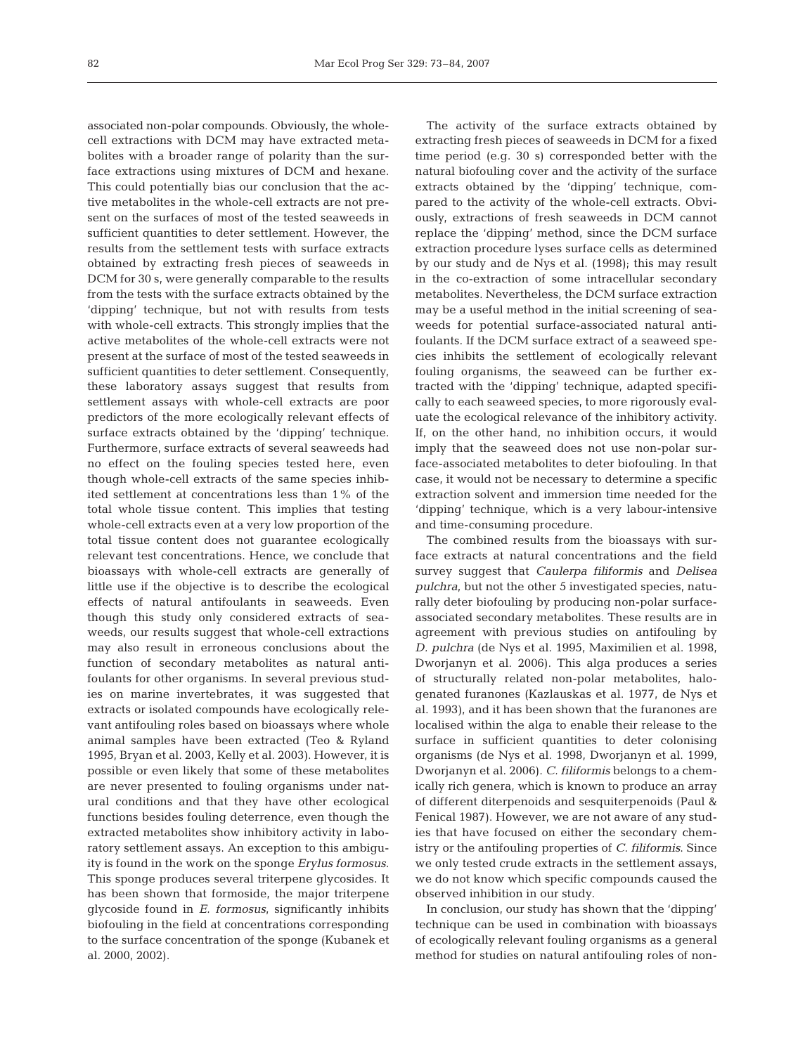associated non-polar compounds. Obviously, the wholecell extractions with DCM may have extracted metabolites with a broader range of polarity than the surface extractions using mixtures of DCM and hexane. This could potentially bias our conclusion that the active metabolites in the whole-cell extracts are not present on the surfaces of most of the tested seaweeds in sufficient quantities to deter settlement. However, the results from the settlement tests with surface extracts obtained by extracting fresh pieces of seaweeds in DCM for 30 s, were generally comparable to the results from the tests with the surface extracts obtained by the 'dipping' technique, but not with results from tests with whole-cell extracts. This strongly implies that the active metabolites of the whole-cell extracts were not present at the surface of most of the tested seaweeds in sufficient quantities to deter settlement. Consequently, these laboratory assays suggest that results from settlement assays with whole-cell extracts are poor predictors of the more ecologically relevant effects of surface extracts obtained by the 'dipping' technique. Furthermore, surface extracts of several seaweeds had no effect on the fouling species tested here, even though whole-cell extracts of the same species inhibited settlement at concentrations less than 1% of the total whole tissue content. This implies that testing whole-cell extracts even at a very low proportion of the total tissue content does not guarantee ecologically relevant test concentrations. Hence, we conclude that bioassays with whole-cell extracts are generally of little use if the objective is to describe the ecological effects of natural antifoulants in seaweeds. Even though this study only considered extracts of seaweeds, our results suggest that whole-cell extractions may also result in erroneous conclusions about the function of secondary metabolites as natural antifoulants for other organisms. In several previous studies on marine invertebrates, it was suggested that extracts or isolated compounds have ecologically relevant antifouling roles based on bioassays where whole animal samples have been extracted (Teo & Ryland 1995, Bryan et al. 2003, Kelly et al. 2003). However, it is possible or even likely that some of these metabolites are never presented to fouling organisms under natural conditions and that they have other ecological functions besides fouling deterrence, even though the extracted metabolites show inhibitory activity in laboratory settlement assays. An exception to this ambiguity is found in the work on the sponge *Erylus formosus*. This sponge produces several triterpene glycosides. It has been shown that formoside, the major triterpene glycoside found in *E. formosus*, significantly inhibits biofouling in the field at concentrations corresponding to the surface concentration of the sponge (Kubanek et al. 2000, 2002).

The activity of the surface extracts obtained by extracting fresh pieces of seaweeds in DCM for a fixed time period (e.g. 30 s) corresponded better with the natural biofouling cover and the activity of the surface extracts obtained by the 'dipping' technique, compared to the activity of the whole-cell extracts. Obviously, extractions of fresh seaweeds in DCM cannot replace the 'dipping' method, since the DCM surface extraction procedure lyses surface cells as determined by our study and de Nys et al. (1998); this may result in the co-extraction of some intracellular secondary metabolites. Nevertheless, the DCM surface extraction may be a useful method in the initial screening of seaweeds for potential surface-associated natural antifoulants. If the DCM surface extract of a seaweed species inhibits the settlement of ecologically relevant fouling organisms, the seaweed can be further extracted with the 'dipping' technique, adapted specifically to each seaweed species, to more rigorously evaluate the ecological relevance of the inhibitory activity. If, on the other hand, no inhibition occurs, it would imply that the seaweed does not use non-polar surface-associated metabolites to deter biofouling. In that case, it would not be necessary to determine a specific extraction solvent and immersion time needed for the 'dipping' technique, which is a very labour-intensive and time-consuming procedure.

The combined results from the bioassays with surface extracts at natural concentrations and the field survey suggest that *Caulerpa filiformis* and *Delisea pulchra*, but not the other 5 investigated species, naturally deter biofouling by producing non-polar surfaceassociated secondary metabolites. These results are in agreement with previous studies on antifouling by *D. pulchra* (de Nys et al. 1995, Maximilien et al. 1998, Dworjanyn et al. 2006). This alga produces a series of structurally related non-polar metabolites, halogenated furanones (Kazlauskas et al. 1977, de Nys et al. 1993), and it has been shown that the furanones are localised within the alga to enable their release to the surface in sufficient quantities to deter colonising organisms (de Nys et al. 1998, Dworjanyn et al. 1999, Dworjanyn et al. 2006). *C. filiformis* belongs to a chemically rich genera, which is known to produce an array of different diterpenoids and sesquiterpenoids (Paul & Fenical 1987). However, we are not aware of any studies that have focused on either the secondary chemistry or the antifouling properties of *C. filiformis*. Since we only tested crude extracts in the settlement assays, we do not know which specific compounds caused the observed inhibition in our study.

In conclusion, our study has shown that the 'dipping' technique can be used in combination with bioassays of ecologically relevant fouling organisms as a general method for studies on natural antifouling roles of non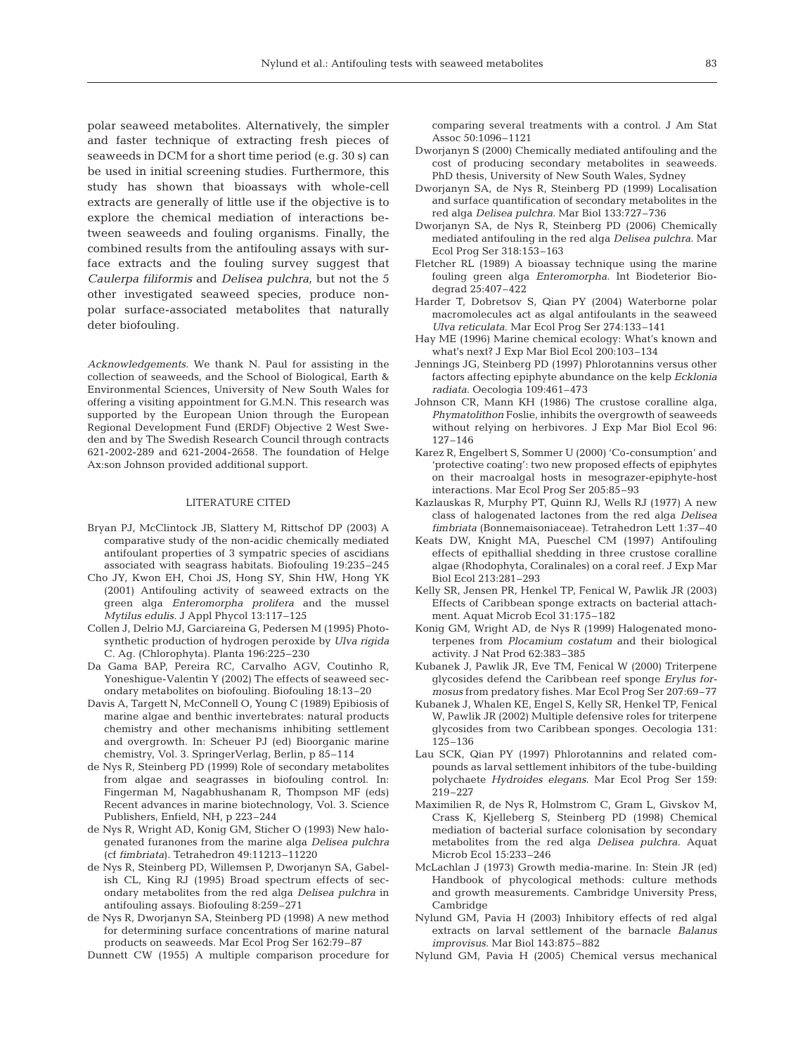polar seaweed metabolites. Alternatively, the simpler and faster technique of extracting fresh pieces of seaweeds in DCM for a short time period (e.g. 30 s) can be used in initial screening studies. Furthermore, this study has shown that bioassays with whole-cell extracts are generally of little use if the objective is to explore the chemical mediation of interactions between seaweeds and fouling organisms. Finally, the combined results from the antifouling assays with surface extracts and the fouling survey suggest that *Caulerpa filiformis* and *Delisea pulchra*, but not the 5 other investigated seaweed species, produce nonpolar surface-associated metabolites that naturally deter biofouling.

*Acknowledgements.* We thank N. Paul for assisting in the collection of seaweeds, and the School of Biological, Earth & Environmental Sciences, University of New South Wales for offering a visiting appointment for G.M.N. This research was supported by the European Union through the European Regional Development Fund (ERDF) Objective 2 West Sweden and by The Swedish Research Council through contracts 621-2002-289 and 621-2004-2658. The foundation of Helge Ax:son Johnson provided additional support.

#### LITERATURE CITED

- Bryan PJ, McClintock JB, Slattery M, Rittschof DP (2003) A comparative study of the non-acidic chemically mediated antifoulant properties of 3 sympatric species of ascidians associated with seagrass habitats. Biofouling 19:235–245
- Cho JY, Kwon EH, Choi JS, Hong SY, Shin HW, Hong YK (2001) Antifouling activity of seaweed extracts on the green alga *Enteromorpha prolifera* and the mussel *Mytilus edulis*. J Appl Phycol 13:117–125
- Collen J, Delrio MJ, Garciareina G, Pedersen M (1995) Photosynthetic production of hydrogen peroxide by *Ulva rigida* C. Ag. (Chlorophyta). Planta 196:225–230
- Da Gama BAP, Pereira RC, Carvalho AGV, Coutinho R, Yoneshigue-Valentin Y (2002) The effects of seaweed secondary metabolites on biofouling. Biofouling 18:13–20
- Davis A, Targett N, McConnell O, Young C (1989) Epibiosis of marine algae and benthic invertebrates: natural products chemistry and other mechanisms inhibiting settlement and overgrowth. In: Scheuer PJ (ed) Bioorganic marine chemistry, Vol. 3. SpringerVerlag, Berlin, p 85–114
- de Nys R, Steinberg PD (1999) Role of secondary metabolites from algae and seagrasses in biofouling control. In: Fingerman M, Nagabhushanam R, Thompson MF (eds) Recent advances in marine biotechnology, Vol. 3. Science Publishers, Enfield, NH, p 223–244
- de Nys R, Wright AD, Konig GM, Sticher O (1993) New halogenated furanones from the marine alga *Delisea pulchra* (cf *fimbriata*). Tetrahedron 49:11213–11220
- de Nys R, Steinberg PD, Willemsen P, Dworjanyn SA, Gabelish CL, King RJ (1995) Broad spectrum effects of secondary metabolites from the red alga *Delisea pulchra* in antifouling assays. Biofouling 8:259–271
- de Nys R, Dworjanyn SA, Steinberg PD (1998) A new method for determining surface concentrations of marine natural products on seaweeds. Mar Ecol Prog Ser 162:79–87

Dunnett CW (1955) A multiple comparison procedure for

comparing several treatments with a control. J Am Stat Assoc 50:1096–1121

- Dworjanyn S (2000) Chemically mediated antifouling and the cost of producing secondary metabolites in seaweeds. PhD thesis, University of New South Wales, Sydney
- Dworjanyn SA, de Nys R, Steinberg PD (1999) Localisation and surface quantification of secondary metabolites in the red alga *Delisea pulchra*. Mar Biol 133:727–736
- Dworjanyn SA, de Nys R, Steinberg PD (2006) Chemically mediated antifouling in the red alga *Delisea pulchra*. Mar Ecol Prog Ser 318:153–163
- Fletcher RL (1989) A bioassay technique using the marine fouling green alga *Enteromorpha*. Int Biodeterior Biodegrad 25:407–422
- Harder T, Dobretsov S, Qian PY (2004) Waterborne polar macromolecules act as algal antifoulants in the seaweed *Ulva reticulata*. Mar Ecol Prog Ser 274:133–141
- Hay ME (1996) Marine chemical ecology: What's known and what's next? J Exp Mar Biol Ecol 200:103–134
- Jennings JG, Steinberg PD (1997) Phlorotannins versus other factors affecting epiphyte abundance on the kelp *Ecklonia radiata*. Oecologia 109:461–473
- Johnson CR, Mann KH (1986) The crustose coralline alga, *Phymatolithon* Foslie, inhibits the overgrowth of seaweeds without relying on herbivores. J Exp Mar Biol Ecol 96: 127–146
- Karez R, Engelbert S, Sommer U (2000) 'Co-consumption' and 'protective coating': two new proposed effects of epiphytes on their macroalgal hosts in mesograzer-epiphyte-host interactions. Mar Ecol Prog Ser 205:85–93
- Kazlauskas R, Murphy PT, Quinn RJ, Wells RJ (1977) A new class of halogenated lactones from the red alga *Delisea fimbriata* (Bonnemaisoniaceae). Tetrahedron Lett 1:37–40
- Keats DW, Knight MA, Pueschel CM (1997) Antifouling effects of epithallial shedding in three crustose coralline algae (Rhodophyta, Coralinales) on a coral reef. J Exp Mar Biol Ecol 213:281–293
- Kelly SR, Jensen PR, Henkel TP, Fenical W, Pawlik JR (2003) Effects of Caribbean sponge extracts on bacterial attachment. Aquat Microb Ecol 31:175–182
- Konig GM, Wright AD, de Nys R (1999) Halogenated monoterpenes from *Plocamium costatum* and their biological activity. J Nat Prod 62:383–385
- Kubanek J, Pawlik JR, Eve TM, Fenical W (2000) Triterpene glycosides defend the Caribbean reef sponge *Erylus formosus* from predatory fishes. Mar Ecol Prog Ser 207:69–77
- Kubanek J, Whalen KE, Engel S, Kelly SR, Henkel TP, Fenical W, Pawlik JR (2002) Multiple defensive roles for triterpene glycosides from two Caribbean sponges. Oecologia 131: 125–136
- Lau SCK, Qian PY (1997) Phlorotannins and related compounds as larval settlement inhibitors of the tube-building polychaete *Hydroides elegans*. Mar Ecol Prog Ser 159: 219–227
- Maximilien R, de Nys R, Holmstrom C, Gram L, Givskov M, Crass K, Kjelleberg S, Steinberg PD (1998) Chemical mediation of bacterial surface colonisation by secondary metabolites from the red alga *Delisea pulchra*. Aquat Microb Ecol 15:233–246
- McLachlan J (1973) Growth media-marine. In: Stein JR (ed) Handbook of phycological methods: culture methods and growth measurements. Cambridge University Press, Cambridge
- Nylund GM, Pavia H (2003) Inhibitory effects of red algal extracts on larval settlement of the barnacle *Balanus improvisus*. Mar Biol 143:875–882
- Nylund GM, Pavia H (2005) Chemical versus mechanical